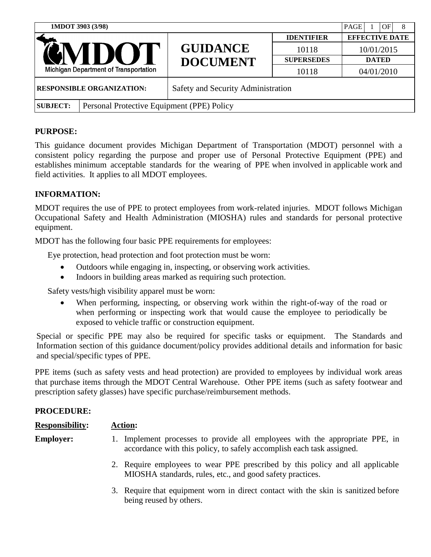| 1MDOT 3903 (3/98)                                       |  |                                            | OF<br><b>PAGE</b><br>8 |                       |
|---------------------------------------------------------|--|--------------------------------------------|------------------------|-----------------------|
| <b>GNIDO'.</b><br>Michigan Department of Transportation |  | <b>GUIDANCE</b><br><b>DOCUMENT</b>         | <b>IDENTIFIER</b>      | <b>EFFECTIVE DATE</b> |
|                                                         |  |                                            | 10118                  | 10/01/2015            |
|                                                         |  |                                            | <b>SUPERSEDES</b>      | <b>DATED</b>          |
|                                                         |  |                                            | 10118                  | 04/01/2010            |
| <b>RESPONSIBLE ORGANIZATION:</b>                        |  | Safety and Security Administration         |                        |                       |
| <b>SUBJECT:</b>                                         |  | Personal Protective Equipment (PPE) Policy |                        |                       |

# **PURPOSE:**

This guidance document provides Michigan Department of Transportation (MDOT) personnel with a consistent policy regarding the purpose and proper use of Personal Protective Equipment (PPE) and establishes minimum acceptable standards for the wearing of PPE when involved in applicable work and field activities. It applies to all MDOT employees.

# **INFORMATION:**

MDOT requires the use of PPE to protect employees from work-related injuries. MDOT follows Michigan Occupational Safety and Health Administration (MIOSHA) rules and standards for personal protective equipment.

MDOT has the following four basic PPE requirements for employees:

Eye protection, head protection and foot protection must be worn:

- Outdoors while engaging in, inspecting, or observing work activities.
- Indoors in building areas marked as requiring such protection.

Safety vests/high visibility apparel must be worn:

 When performing, inspecting, or observing work within the right-of-way of the road or when performing or inspecting work that would cause the employee to periodically be exposed to vehicle traffic or construction equipment.

Special or specific PPE may also be required for specific tasks or equipment. The Standards and Information section of this guidance document/policy provides additional details and information for basic and special/specific types of PPE.

PPE items (such as safety vests and head protection) are provided to employees by individual work areas that purchase items through the MDOT Central Warehouse. Other PPE items (such as safety footwear and prescription safety glasses) have specific purchase/reimbursement methods.

## **PROCEDURE:**

| <b>Responsibility:</b> | <b>Action:</b>                                                                                                                                           |
|------------------------|----------------------------------------------------------------------------------------------------------------------------------------------------------|
| <b>Employer:</b>       | Implement processes to provide all employees with the appropriate PPE, in<br>Ι.<br>accordance with this policy, to safely accomplish each task assigned. |
|                        | 2. Require employees to wear PPE prescribed by this policy and all applicable<br>MIOSHA standards, rules, etc., and good safety practices.               |

3. Require that equipment worn in direct contact with the skin is sanitized before being reused by others.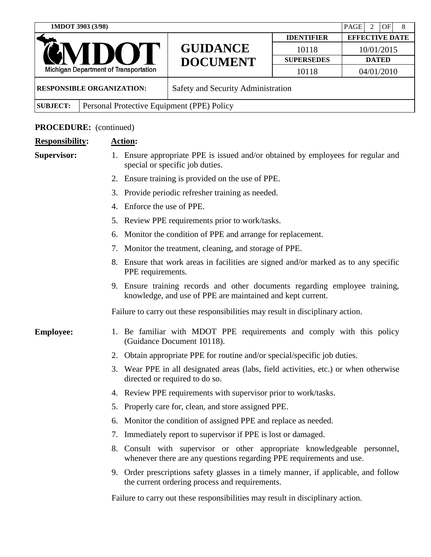|                                                         | 1MDOT 3903 (3/98) |                                                      |                                                                                                                  |                                    | PAGE<br>2<br>OF<br>8  |  |
|---------------------------------------------------------|-------------------|------------------------------------------------------|------------------------------------------------------------------------------------------------------------------|------------------------------------|-----------------------|--|
|                                                         |                   |                                                      |                                                                                                                  | <b>IDENTIFIER</b>                  | <b>EFFECTIVE DATE</b> |  |
|                                                         |                   |                                                      | <b>GUIDANCE</b><br><b>DOCUMENT</b>                                                                               | 10118                              | 10/01/2015            |  |
|                                                         |                   |                                                      |                                                                                                                  | <b>SUPERSEDES</b>                  | <b>DATED</b>          |  |
|                                                         |                   | <b>Michigan Department of Transportation</b>         |                                                                                                                  | 10118                              | 04/01/2010            |  |
| <b>RESPONSIBLE ORGANIZATION:</b>                        |                   |                                                      |                                                                                                                  | Safety and Security Administration |                       |  |
| <b>SUBJECT:</b>                                         |                   |                                                      | Personal Protective Equipment (PPE) Policy                                                                       |                                    |                       |  |
|                                                         |                   | <b>Action:</b>                                       |                                                                                                                  |                                    |                       |  |
| <b>PROCEDURE:</b> (continued)<br><b>Responsibility:</b> |                   |                                                      |                                                                                                                  |                                    |                       |  |
| <b>Supervisor:</b>                                      |                   |                                                      | Ensure appropriate PPE is issued and/or obtained by employees for regular and<br>special or specific job duties. |                                    |                       |  |
|                                                         |                   | Ensure training is provided on the use of PPE.<br>2. |                                                                                                                  |                                    |                       |  |
|                                                         |                   | Provide periodic refresher training as needed.<br>3. |                                                                                                                  |                                    |                       |  |
|                                                         |                   | Enforce the use of PPE.<br>4.                        |                                                                                                                  |                                    |                       |  |
|                                                         |                   | Review PPE requirements prior to work/tasks.<br>5.   |                                                                                                                  |                                    |                       |  |
|                                                         |                   |                                                      | 6. Monitor the condition of PPE and arrange for replacement.                                                     |                                    |                       |  |

- 7. Monitor the treatment, cleaning, and storage of PPE.
- 8. Ensure that work areas in facilities are signed and/or marked as to any specific PPE requirements.
- 9. Ensure training records and other documents regarding employee training, knowledge, and use of PPE are maintained and kept current.

Failure to carry out these responsibilities may result in disciplinary action.

# **Employee:** 1. Be familiar with MDOT PPE requirements and comply with this policy (Guidance Document 10118).

- 2. Obtain appropriate PPE for routine and/or special/specific job duties.
- 3. Wear PPE in all designated areas (labs, field activities, etc.) or when otherwise directed or required to do so.
- 4. Review PPE requirements with supervisor prior to work/tasks.
- 5. Properly care for, clean, and store assigned PPE.
- 6. Monitor the condition of assigned PPE and replace as needed.
- 7. Immediately report to supervisor if PPE is lost or damaged.
- 8. Consult with supervisor or other appropriate knowledgeable personnel, whenever there are any questions regarding PPE requirements and use.
- 9. Order prescriptions safety glasses in a timely manner, if applicable, and follow the current ordering process and requirements.

Failure to carry out these responsibilities may result in disciplinary action.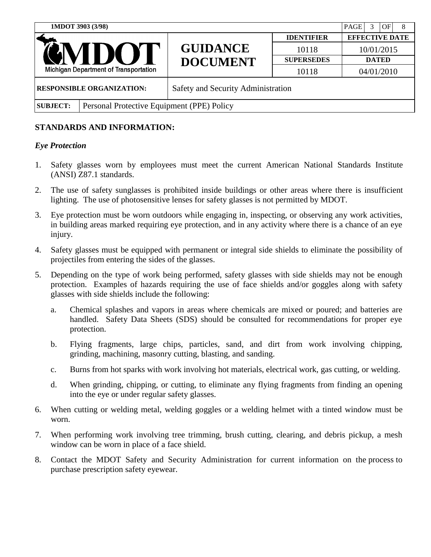| 1MDOT 3903 (3/98)                                             |  |                                    |                   | PAGE<br>OF<br>8       |
|---------------------------------------------------------------|--|------------------------------------|-------------------|-----------------------|
| GNIDOT<br><b>Michigan Department of Transportation</b>        |  | <b>GUIDANCE</b><br><b>DOCUMENT</b> | <b>IDENTIFIER</b> | <b>EFFECTIVE DATE</b> |
|                                                               |  |                                    | 10118             | 10/01/2015            |
|                                                               |  |                                    | <b>SUPERSEDES</b> | <b>DATED</b>          |
|                                                               |  |                                    | 10118             | 04/01/2010            |
| <b>RESPONSIBLE ORGANIZATION:</b>                              |  | Safety and Security Administration |                   |                       |
| Personal Protective Equipment (PPE) Policy<br><b>SUBJECT:</b> |  |                                    |                   |                       |

## **STANDARDS AND INFORMATION:**

#### *Eye Protection*

- 1. Safety glasses worn by employees must meet the current American National Standards Institute (ANSI) Z87.1 standards.
- 2. The use of safety sunglasses is prohibited inside buildings or other areas where there is insufficient lighting. The use of photosensitive lenses for safety glasses is not permitted by MDOT.
- 3. Eye protection must be worn outdoors while engaging in, inspecting, or observing any work activities, in building areas marked requiring eye protection, and in any activity where there is a chance of an eye injury.
- 4. Safety glasses must be equipped with permanent or integral side shields to eliminate the possibility of projectiles from entering the sides of the glasses.
- 5. Depending on the type of work being performed, safety glasses with side shields may not be enough protection. Examples of hazards requiring the use of face shields and/or goggles along with safety glasses with side shields include the following:
	- a. Chemical splashes and vapors in areas where chemicals are mixed or poured; and batteries are handled. Safety Data Sheets (SDS) should be consulted for recommendations for proper eye protection.
	- b. Flying fragments, large chips, particles, sand, and dirt from work involving chipping, grinding, machining, masonry cutting, blasting, and sanding.
	- c. Burns from hot sparks with work involving hot materials, electrical work, gas cutting, or welding.
	- d. When grinding, chipping, or cutting, to eliminate any flying fragments from finding an opening into the eye or under regular safety glasses.
- 6. When cutting or welding metal, welding goggles or a welding helmet with a tinted window must be worn.
- 7. When performing work involving tree trimming, brush cutting, clearing, and debris pickup, a mesh window can be worn in place of a face shield.
- 8. Contact the MDOT Safety and Security Administration for current information on the process to purchase prescription safety eyewear.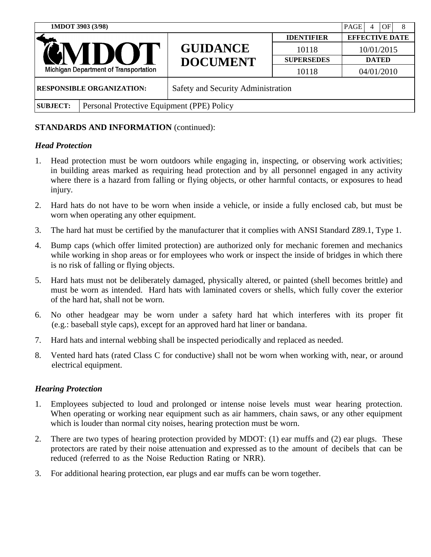| 1MDOT 3903 (3/98)                                             | <b>PAGE</b><br>OF<br>8<br>4        |                   |                       |
|---------------------------------------------------------------|------------------------------------|-------------------|-----------------------|
|                                                               | <b>GUIDANCE</b><br><b>DOCUMENT</b> | <b>IDENTIFIER</b> | <b>EFFECTIVE DATE</b> |
| GNIDOT                                                        |                                    | 10118             | 10/01/2015            |
|                                                               |                                    | <b>SUPERSEDES</b> | <b>DATED</b>          |
| Michigan Department of Transportation                         |                                    | 10118             | 04/01/2010            |
| <b>RESPONSIBLE ORGANIZATION:</b>                              | Safety and Security Administration |                   |                       |
| Personal Protective Equipment (PPE) Policy<br><b>SUBJECT:</b> |                                    |                   |                       |

## *Head Protection*

- 1. Head protection must be worn outdoors while engaging in, inspecting, or observing work activities; in building areas marked as requiring head protection and by all personnel engaged in any activity where there is a hazard from falling or flying objects, or other harmful contacts, or exposures to head injury.
- 2. Hard hats do not have to be worn when inside a vehicle, or inside a fully enclosed cab, but must be worn when operating any other equipment.
- 3. The hard hat must be certified by the manufacturer that it complies with ANSI Standard Z89.1, Type 1.
- 4. Bump caps (which offer limited protection) are authorized only for mechanic foremen and mechanics while working in shop areas or for employees who work or inspect the inside of bridges in which there is no risk of falling or flying objects.
- 5. Hard hats must not be deliberately damaged, physically altered, or painted (shell becomes brittle) and must be worn as intended. Hard hats with laminated covers or shells, which fully cover the exterior of the hard hat, shall not be worn.
- 6. No other headgear may be worn under a safety hard hat which interferes with its proper fit (e.g.: baseball style caps), except for an approved hard hat liner or bandana.
- 7. Hard hats and internal webbing shall be inspected periodically and replaced as needed.
- 8. Vented hard hats (rated Class C for conductive) shall not be worn when working with, near, or around electrical equipment.

## *Hearing Protection*

- 1. Employees subjected to loud and prolonged or intense noise levels must wear hearing protection. When operating or working near equipment such as air hammers, chain saws, or any other equipment which is louder than normal city noises, hearing protection must be worn.
- 2. There are two types of hearing protection provided by MDOT: (1) ear muffs and (2) ear plugs. These protectors are rated by their noise attenuation and expressed as to the amount of decibels that can be reduced (referred to as the Noise Reduction Rating or NRR).
- 3. For additional hearing protection, ear plugs and ear muffs can be worn together.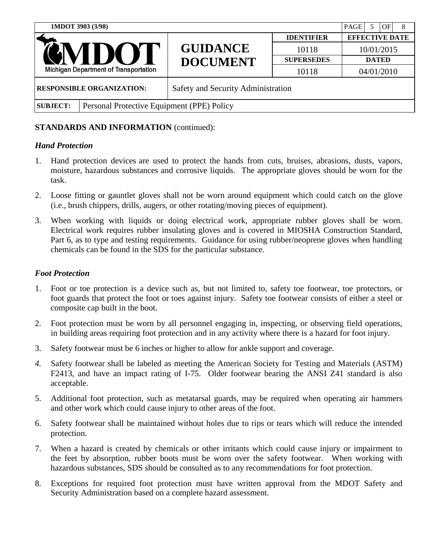| 1MDOT 3903 (3/98)                                             | <b>PAGE</b><br>OF<br>5<br>8        |                   |                       |
|---------------------------------------------------------------|------------------------------------|-------------------|-----------------------|
|                                                               | <b>GUIDANCE</b><br><b>DOCUMENT</b> | <b>IDENTIFIER</b> | <b>EFFECTIVE DATE</b> |
| GNIDOT                                                        |                                    | 10118             | 10/01/2015            |
|                                                               |                                    | <b>SUPERSEDES</b> | <b>DATED</b>          |
| Michigan Department of Transportation                         |                                    | 10118             | 04/01/2010            |
| <b>RESPONSIBLE ORGANIZATION:</b>                              | Safety and Security Administration |                   |                       |
| Personal Protective Equipment (PPE) Policy<br><b>SUBJECT:</b> |                                    |                   |                       |

## *Hand Protection*

- 1. Hand protection devices are used to protect the hands from cuts, bruises, abrasions, dusts, vapors, moisture, hazardous substances and corrosive liquids. The appropriate gloves should be worn for the task.
- 2. Loose fitting or gauntlet gloves shall not be worn around equipment which could catch on the glove (i.e., brush chippers, drills, augers, or other rotating/moving pieces of equipment).
- 3. When working with liquids or doing electrical work, appropriate rubber gloves shall be worn. Electrical work requires rubber insulating gloves and is covered in MIOSHA Construction Standard, Part 6, as to type and testing requirements. Guidance for using rubber/neoprene gloves when handling chemicals can be found in the SDS for the particular substance.

#### *Foot Protection*

- 1. Foot or toe protection is a device such as, but not limited to, safety toe footwear, toe protectors, or foot guards that protect the foot or toes against injury. Safety toe footwear consists of either a steel or composite cap built in the boot.
- 2. Foot protection must be worn by all personnel engaging in, inspecting, or observing field operations, in building areas requiring foot protection and in any activity where there is a hazard for foot injury.
- 3. Safety footwear must be 6 inches or higher to allow for ankle support and coverage.
- *4.* Safety footwear shall be labeled as meeting the American Society for Testing and Materials (ASTM) F2413, and have an impact rating of I-75. Older footwear bearing the ANSI Z41 standard is also acceptable.
- 5. Additional foot protection, such as metatarsal guards, may be required when operating air hammers and other work which could cause injury to other areas of the foot.
- 6. Safety footwear shall be maintained without holes due to rips or tears which will reduce the intended protection.
- 7. When a hazard is created by chemicals or other irritants which could cause injury or impairment to the feet by absorption, rubber boots must be worn over the safety footwear. When working with hazardous substances, SDS should be consulted as to any recommendations for foot protection.
- 8. Exceptions for required foot protection must have written approval from the MDOT Safety and Security Administration based on a complete hazard assessment.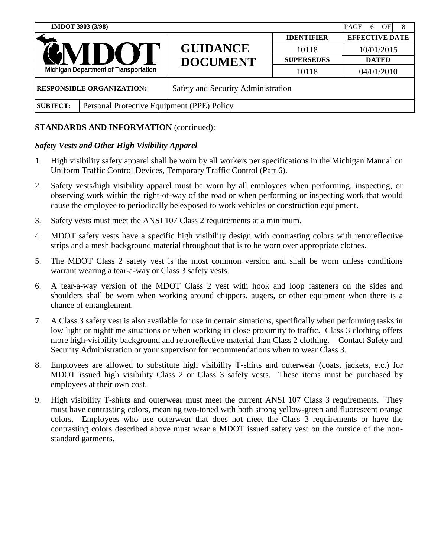| 1MDOT 3903 (3/98)                                             |  |                                    | OF<br>PAGE<br>8<br>6 |                       |
|---------------------------------------------------------------|--|------------------------------------|----------------------|-----------------------|
| <b>GNIDO</b><br><b>Michigan Department of Transportation</b>  |  | <b>GUIDANCE</b><br><b>DOCUMENT</b> | <b>IDENTIFIER</b>    | <b>EFFECTIVE DATE</b> |
|                                                               |  |                                    | 10118                | 10/01/2015            |
|                                                               |  |                                    | <b>SUPERSEDES</b>    | <b>DATED</b>          |
|                                                               |  |                                    | 10118                | 04/01/2010            |
| <b>RESPONSIBLE ORGANIZATION:</b>                              |  | Safety and Security Administration |                      |                       |
| Personal Protective Equipment (PPE) Policy<br><b>SUBJECT:</b> |  |                                    |                      |                       |

## *Safety Vests and Other High Visibility Apparel*

- 1. High visibility safety apparel shall be worn by all workers per specifications in the Michigan Manual on Uniform Traffic Control Devices, Temporary Traffic Control (Part 6).
- 2. Safety vests/high visibility apparel must be worn by all employees when performing, inspecting, or observing work within the right-of-way of the road or when performing or inspecting work that would cause the employee to periodically be exposed to work vehicles or construction equipment.
- 3. Safety vests must meet the ANSI 107 Class 2 requirements at a minimum.
- 4. MDOT safety vests have a specific high visibility design with contrasting colors with retroreflective strips and a mesh background material throughout that is to be worn over appropriate clothes.
- 5. The MDOT Class 2 safety vest is the most common version and shall be worn unless conditions warrant wearing a tear-a-way or Class 3 safety vests.
- 6. A tear-a-way version of the MDOT Class 2 vest with hook and loop fasteners on the sides and shoulders shall be worn when working around chippers, augers, or other equipment when there is a chance of entanglement.
- 7. A Class 3 safety vest is also available for use in certain situations, specifically when performing tasks in low light or nighttime situations or when working in close proximity to traffic. Class 3 clothing offers more high-visibility background and retroreflective material than Class 2 clothing. Contact Safety and Security Administration or your supervisor for recommendations when to wear Class 3.
- 8. Employees are allowed to substitute high visibility T-shirts and outerwear (coats, jackets, etc.) for MDOT issued high visibility Class 2 or Class 3 safety vests. These items must be purchased by employees at their own cost.
- 9. High visibility T-shirts and outerwear must meet the current ANSI 107 Class 3 requirements. They must have contrasting colors, meaning two-toned with both strong yellow-green and fluorescent orange colors. Employees who use outerwear that does not meet the Class 3 requirements or have the contrasting colors described above must wear a MDOT issued safety vest on the outside of the nonstandard garments.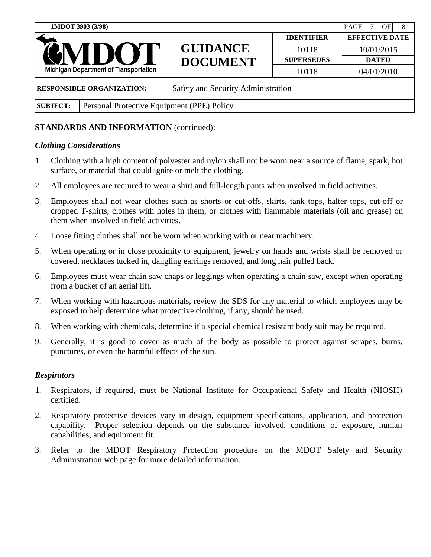| 1MDOT 3903 (3/98)                                            |                                            |                                    | PAGE<br>OF<br>8   |                       |
|--------------------------------------------------------------|--------------------------------------------|------------------------------------|-------------------|-----------------------|
| <b>GNIDO</b><br><b>Michigan Department of Transportation</b> |                                            | <b>GUIDANCE</b><br><b>DOCUMENT</b> | <b>IDENTIFIER</b> | <b>EFFECTIVE DATE</b> |
|                                                              |                                            |                                    | 10118             | 10/01/2015            |
|                                                              |                                            |                                    | <b>SUPERSEDES</b> | <b>DATED</b>          |
|                                                              |                                            |                                    | 10118             | 04/01/2010            |
| <b>RESPONSIBLE ORGANIZATION:</b>                             |                                            | Safety and Security Administration |                   |                       |
| <b>SUBJECT:</b>                                              | Personal Protective Equipment (PPE) Policy |                                    |                   |                       |

#### *Clothing Considerations*

- 1. Clothing with a high content of polyester and nylon shall not be worn near a source of flame, spark, hot surface, or material that could ignite or melt the clothing.
- 2. All employees are required to wear a shirt and full-length pants when involved in field activities.
- 3. Employees shall not wear clothes such as shorts or cut-offs, skirts, tank tops, halter tops, cut-off or cropped T-shirts, clothes with holes in them, or clothes with flammable materials (oil and grease) on them when involved in field activities.
- 4. Loose fitting clothes shall not be worn when working with or near machinery.
- 5. When operating or in close proximity to equipment, jewelry on hands and wrists shall be removed or covered, necklaces tucked in, dangling earrings removed, and long hair pulled back.
- 6. Employees must wear chain saw chaps or leggings when operating a chain saw, except when operating from a bucket of an aerial lift.
- 7. When working with hazardous materials, review the SDS for any material to which employees may be exposed to help determine what protective clothing, if any, should be used.
- 8. When working with chemicals, determine if a special chemical resistant body suit may be required.
- 9. Generally, it is good to cover as much of the body as possible to protect against scrapes, burns, punctures, or even the harmful effects of the sun.

#### *Respirators*

- 1. Respirators, if required, must be National Institute for Occupational Safety and Health (NIOSH) certified.
- 2. Respiratory protective devices vary in design, equipment specifications, application, and protection capability. Proper selection depends on the substance involved, conditions of exposure, human capabilities, and equipment fit.
- 3. Refer to the MDOT Respiratory Protection procedure on the MDOT Safety and Security Administration web page for more detailed information.